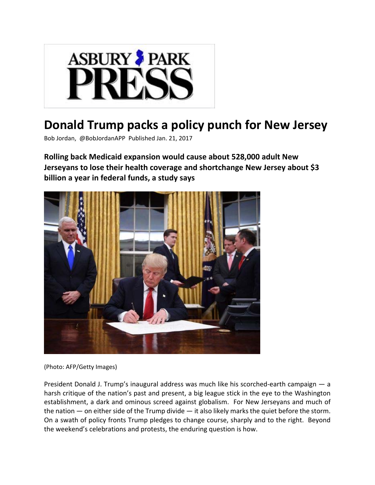

## **Donald Trump packs a policy punch for New Jersey**

Bob Jordan, @BobJordanAPP Published Jan. 21, 2017

**Rolling back Medicaid expansion would cause about 528,000 adult New Jerseyans to lose their health coverage and shortchange New Jersey about \$3 billion a year in federal funds, a study says**



(Photo: AFP/Getty Images)

President Donald J. Trump's inaugural address was much like his scorched‐earth campaign — a harsh critique of the nation's past and present, a big league stick in the eye to the Washington establishment, a dark and ominous screed against globalism. For New Jerseyans and much of the nation  $-$  on either side of the Trump divide  $-$  it also likely marks the quiet before the storm. On a swath of policy fronts Trump pledges to change course, sharply and to the right. Beyond the weekend's celebrations and protests, the enduring question is how.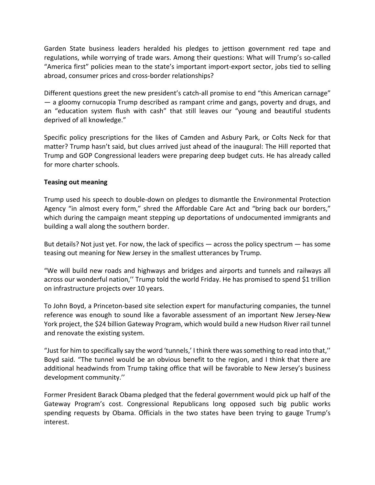Garden State business leaders heralded his pledges to jettison government red tape and regulations, while worrying of trade wars. Among their questions: What will Trump's so-called "America first" policies mean to the state's important import‐export sector, jobs tied to selling abroad, consumer prices and cross‐border relationships?

Different questions greet the new president's catch-all promise to end "this American carnage" — a gloomy cornucopia Trump described as rampant crime and gangs, poverty and drugs, and an "education system flush with cash" that still leaves our "young and beautiful students deprived of all knowledge."

Specific policy prescriptions for the likes of Camden and Asbury Park, or Colts Neck for that matter? Trump hasn't said, but clues arrived just ahead of the inaugural: The Hill reported that Trump and GOP Congressional leaders were preparing deep budget cuts. He has already called for more charter schools.

## **Teasing out meaning**

Trump used his speech to double‐down on pledges to dismantle the Environmental Protection Agency "in almost every form," shred the Affordable Care Act and "bring back our borders," which during the campaign meant stepping up deportations of undocumented immigrants and building a wall along the southern border.

But details? Not just yet. For now, the lack of specifics — across the policy spectrum — has some teasing out meaning for New Jersey in the smallest utterances by Trump.

"We will build new roads and highways and bridges and airports and tunnels and railways all across our wonderful nation,'' Trump told the world Friday. He has promised to spend \$1 trillion on infrastructure projects over 10 years.

To John Boyd, a Princeton‐based site selection expert for manufacturing companies, the tunnel reference was enough to sound like a favorable assessment of an important New Jersey‐New York project, the \$24 billion Gateway Program, which would build a new Hudson River rail tunnel and renovate the existing system.

"Just for him to specifically say the word 'tunnels,' I think there wassomething to read into that,'' Boyd said. "The tunnel would be an obvious benefit to the region, and I think that there are additional headwinds from Trump taking office that will be favorable to New Jersey's business development community.''

Former President Barack Obama pledged that the federal government would pick up half of the Gateway Program's cost. Congressional Republicans long opposed such big public works spending requests by Obama. Officials in the two states have been trying to gauge Trump's interest.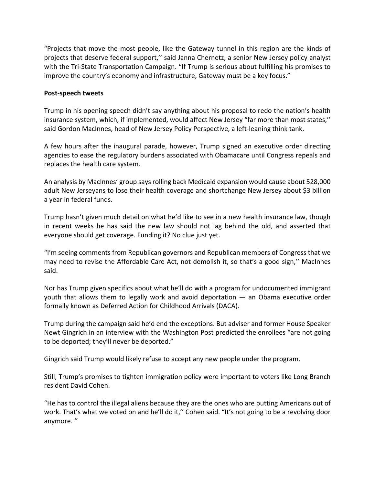"Projects that move the most people, like the Gateway tunnel in this region are the kinds of projects that deserve federal support,'' said Janna Chernetz, a senior New Jersey policy analyst with the Tri-State Transportation Campaign. "If Trump is serious about fulfilling his promises to improve the country's economy and infrastructure, Gateway must be a key focus."

## **Post‐speech tweets**

Trump in his opening speech didn't say anything about his proposal to redo the nation's health insurance system, which, if implemented, would affect New Jersey "far more than most states,'' said Gordon MacInnes, head of New Jersey Policy Perspective, a left-leaning think tank.

A few hours after the inaugural parade, however, Trump signed an executive order directing agencies to ease the regulatory burdens associated with Obamacare until Congress repeals and replaces the health care system.

An analysis by MacInnes' group says rolling back Medicaid expansion would cause about 528,000 adult New Jerseyans to lose their health coverage and shortchange New Jersey about \$3 billion a year in federal funds.

Trump hasn't given much detail on what he'd like to see in a new health insurance law, though in recent weeks he has said the new law should not lag behind the old, and asserted that everyone should get coverage. Funding it? No clue just yet.

"I'm seeing comments from Republican governors and Republican members of Congress that we may need to revise the Affordable Care Act, not demolish it, so that's a good sign,'' MacInnes said.

Nor has Trump given specifics about what he'll do with a program for undocumented immigrant youth that allows them to legally work and avoid deportation — an Obama executive order formally known as Deferred Action for Childhood Arrivals (DACA).

Trump during the campaign said he'd end the exceptions. But adviser and former House Speaker Newt Gingrich in an interview with the Washington Post predicted the enrollees "are not going to be deported; they'll never be deported."

Gingrich said Trump would likely refuse to accept any new people under the program.

Still, Trump's promises to tighten immigration policy were important to voters like Long Branch resident David Cohen.

"He has to control the illegal aliens because they are the ones who are putting Americans out of work. That's what we voted on and he'll do it,'' Cohen said. "It's not going to be a revolving door anymore. ''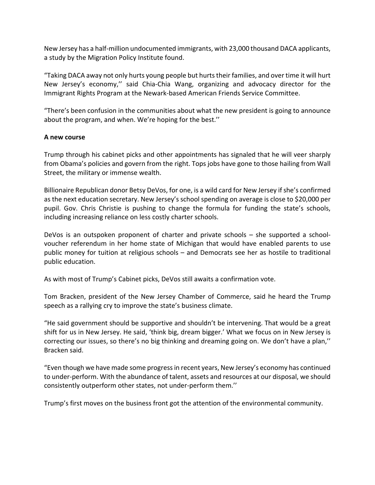New Jersey has a half‐million undocumented immigrants, with 23,000 thousand DACA applicants, a study by the Migration Policy Institute found.

"Taking DACA away not only hurts young people but hurts their families, and over time it will hurt New Jersey's economy,'' said Chia‐Chia Wang, organizing and advocacy director for the Immigrant Rights Program at the Newark‐based American Friends Service Committee.

"There's been confusion in the communities about what the new president is going to announce about the program, and when. We're hoping for the best.''

## **A new course**

Trump through his cabinet picks and other appointments has signaled that he will veer sharply from Obama's policies and govern from the right. Tops jobs have gone to those hailing from Wall Street, the military or immense wealth.

Billionaire Republican donor Betsy DeVos, for one, is a wild card for New Jersey if she's confirmed as the next education secretary. New Jersey's school spending on average is close to \$20,000 per pupil. Gov. Chris Christie is pushing to change the formula for funding the state's schools, including increasing reliance on less costly charter schools.

DeVos is an outspoken proponent of charter and private schools – she supported a schoolvoucher referendum in her home state of Michigan that would have enabled parents to use public money for tuition at religious schools – and Democrats see her as hostile to traditional public education.

As with most of Trump's Cabinet picks, DeVos still awaits a confirmation vote.

Tom Bracken, president of the New Jersey Chamber of Commerce, said he heard the Trump speech as a rallying cry to improve the state's business climate.

"He said government should be supportive and shouldn't be intervening. That would be a great shift for us in New Jersey. He said, 'think big, dream bigger.' What we focus on in New Jersey is correcting our issues, so there's no big thinking and dreaming going on. We don't have a plan,'' Bracken said.

"Even though we have made some progressin recent years, New Jersey's economy has continued to under‐perform. With the abundance of talent, assets and resources at our disposal, we should consistently outperform other states, not under‐perform them.''

Trump's first moves on the business front got the attention of the environmental community.